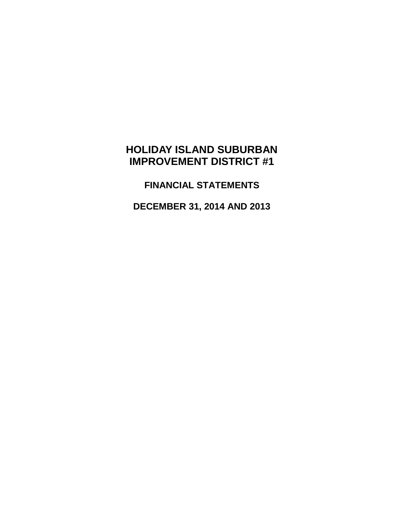# **HOLIDAY ISLAND SUBURBAN IMPROVEMENT DISTRICT #1**

**FINANCIAL STATEMENTS**

**DECEMBER 31, 2014 AND 2013**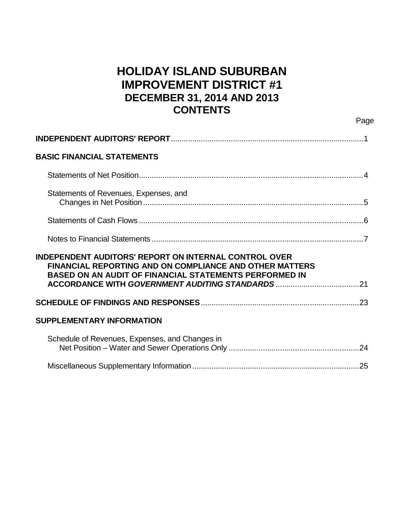# **HOLIDAY ISLAND SUBURBAN IMPROVEMENT DISTRICT #1 DECEMBER 31, 2014 AND 2013 CONTENTS**

Page

| <b>BASIC FINANCIAL STATEMENTS</b>                                                                                                                                                        |  |
|------------------------------------------------------------------------------------------------------------------------------------------------------------------------------------------|--|
|                                                                                                                                                                                          |  |
| Statements of Revenues, Expenses, and                                                                                                                                                    |  |
|                                                                                                                                                                                          |  |
|                                                                                                                                                                                          |  |
| <b>INDEPENDENT AUDITORS' REPORT ON INTERNAL CONTROL OVER</b><br>FINANCIAL REPORTING AND ON COMPLIANCE AND OTHER MATTERS<br><b>BASED ON AN AUDIT OF FINANCIAL STATEMENTS PERFORMED IN</b> |  |
|                                                                                                                                                                                          |  |
| <b>SUPPLEMENTARY INFORMATION</b>                                                                                                                                                         |  |
|                                                                                                                                                                                          |  |
| Schedule of Revenues, Expenses, and Changes in                                                                                                                                           |  |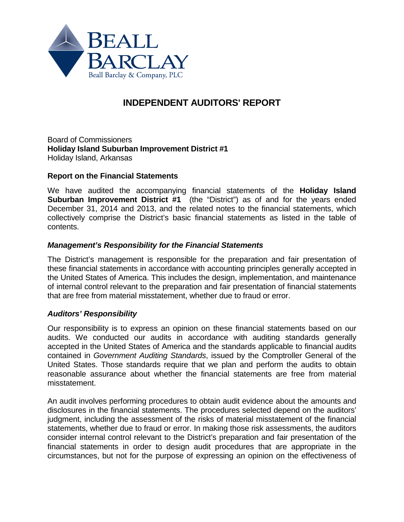

# **INDEPENDENT AUDITORS' REPORT**

Board of Commissioners **Holiday Island Suburban Improvement District #1** Holiday Island, Arkansas

### **Report on the Financial Statements**

We have audited the accompanying financial statements of the **Holiday Island Suburban Improvement District #1** (the "District") as of and for the years ended December 31, 2014 and 2013, and the related notes to the financial statements, which collectively comprise the District's basic financial statements as listed in the table of contents.

### *Management's Responsibility for the Financial Statements*

The District's management is responsible for the preparation and fair presentation of these financial statements in accordance with accounting principles generally accepted in the United States of America. This includes the design, implementation, and maintenance of internal control relevant to the preparation and fair presentation of financial statements that are free from material misstatement, whether due to fraud or error.

### *Auditors' Responsibility*

Our responsibility is to express an opinion on these financial statements based on our audits. We conducted our audits in accordance with auditing standards generally accepted in the United States of America and the standards applicable to financial audits contained in *Government Auditing Standards*, issued by the Comptroller General of the United States. Those standards require that we plan and perform the audits to obtain reasonable assurance about whether the financial statements are free from material misstatement.

An audit involves performing procedures to obtain audit evidence about the amounts and disclosures in the financial statements. The procedures selected depend on the auditors' judgment, including the assessment of the risks of material misstatement of the financial statements, whether due to fraud or error. In making those risk assessments, the auditors consider internal control relevant to the District's preparation and fair presentation of the financial statements in order to design audit procedures that are appropriate in the circumstances, but not for the purpose of expressing an opinion on the effectiveness of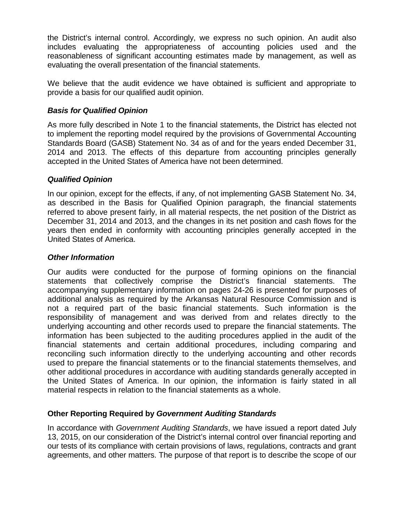the District's internal control. Accordingly, we express no such opinion. An audit also includes evaluating the appropriateness of accounting policies used and the reasonableness of significant accounting estimates made by management, as well as evaluating the overall presentation of the financial statements.

We believe that the audit evidence we have obtained is sufficient and appropriate to provide a basis for our qualified audit opinion.

# *Basis for Qualified Opinion*

As more fully described in Note 1 to the financial statements, the District has elected not to implement the reporting model required by the provisions of Governmental Accounting Standards Board (GASB) Statement No. 34 as of and for the years ended December 31, 2014 and 2013. The effects of this departure from accounting principles generally accepted in the United States of America have not been determined.

# *Qualified Opinion*

In our opinion, except for the effects, if any, of not implementing GASB Statement No. 34, as described in the Basis for Qualified Opinion paragraph, the financial statements referred to above present fairly, in all material respects, the net position of the District as December 31, 2014 and 2013, and the changes in its net position and cash flows for the years then ended in conformity with accounting principles generally accepted in the United States of America.

## *Other Information*

Our audits were conducted for the purpose of forming opinions on the financial statements that collectively comprise the District's financial statements. The accompanying supplementary information on pages 24-26 is presented for purposes of additional analysis as required by the Arkansas Natural Resource Commission and is not a required part of the basic financial statements. Such information is the responsibility of management and was derived from and relates directly to the underlying accounting and other records used to prepare the financial statements. The information has been subjected to the auditing procedures applied in the audit of the financial statements and certain additional procedures, including comparing and reconciling such information directly to the underlying accounting and other records used to prepare the financial statements or to the financial statements themselves, and other additional procedures in accordance with auditing standards generally accepted in the United States of America. In our opinion, the information is fairly stated in all material respects in relation to the financial statements as a whole.

# **Other Reporting Required by** *Government Auditing Standards*

In accordance with *Government Auditing Standards*, we have issued a report dated July 13, 2015, on our consideration of the District's internal control over financial reporting and our tests of its compliance with certain provisions of laws, regulations, contracts and grant agreements, and other matters. The purpose of that report is to describe the scope of our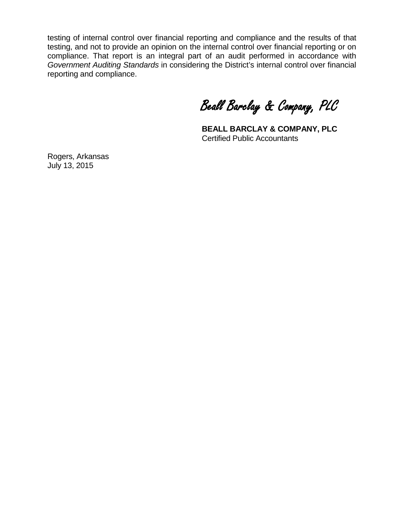testing of internal control over financial reporting and compliance and the results of that testing, and not to provide an opinion on the internal control over financial reporting or on compliance. That report is an integral part of an audit performed in accordance with *Government Auditing Standards* in considering the District's internal control over financial reporting and compliance.

Beall Barclay & Company, PLC

**BEALL BARCLAY & COMPANY, PLC** Certified Public Accountants

Rogers, Arkansas July 13, 2015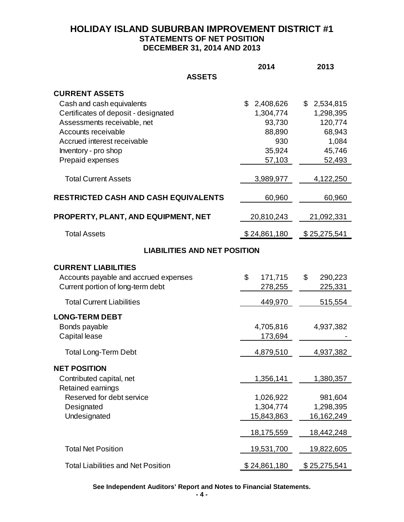# **HOLIDAY ISLAND SUBURBAN IMPROVEMENT DISTRICT #1 STATEMENTS OF NET POSITION DECEMBER 31, 2014 AND 2013**

|                                             | 2014            | 2013          |
|---------------------------------------------|-----------------|---------------|
| <b>ASSETS</b>                               |                 |               |
| <b>CURRENT ASSETS</b>                       |                 |               |
| Cash and cash equivalents                   | \$<br>2,408,626 | \$2,534,815   |
| Certificates of deposit - designated        | 1,304,774       | 1,298,395     |
| Assessments receivable, net                 | 93,730          | 120,774       |
| Accounts receivable                         | 88,890          | 68,943        |
| Accrued interest receivable                 | 930             | 1,084         |
| Inventory - pro shop                        | 35,924          | 45,746        |
| Prepaid expenses                            | 57,103          | 52,493        |
| <b>Total Current Assets</b>                 | 3,989,977       | 4,122,250     |
| <b>RESTRICTED CASH AND CASH EQUIVALENTS</b> | 60,960          | 60,960        |
| PROPERTY, PLANT, AND EQUIPMENT, NET         | 20,810,243      | 21,092,331    |
| <b>Total Assets</b>                         | \$24,861,180    | \$25,275,541  |
| <b>LIABILITIES AND NET POSITION</b>         |                 |               |
| <b>CURRENT LIABILITIES</b>                  |                 |               |
| Accounts payable and accrued expenses       | \$<br>171,715   | \$<br>290,223 |
| Current portion of long-term debt           | 278,255         | 225,331       |
|                                             |                 |               |
| <b>Total Current Liabilities</b>            | 449,970         | 515,554       |
| <b>LONG-TERM DEBT</b>                       |                 |               |
| Bonds payable                               | 4,705,816       | 4,937,382     |
| Capital lease                               | 173,694         |               |
| <b>Total Long-Term Debt</b>                 | 4,879,510       | 4,937,382     |
|                                             |                 |               |
| <b>NET POSITION</b>                         |                 |               |
| Contributed capital, net                    | 1,356,141       | 1,380,357     |
| Retained earnings                           |                 |               |
| Reserved for debt service                   | 1,026,922       | 981,604       |
| Designated                                  | 1,304,774       | 1,298,395     |
| Undesignated                                | 15,843,863      | 16,162,249    |
|                                             | 18,175,559      | 18,442,248    |
| <b>Total Net Position</b>                   | 19,531,700      | 19,822,605    |
| <b>Total Liabilities and Net Position</b>   | \$24,861,180    | \$25,275,541  |

**See Independent Auditors' Report and Notes to Financial Statements.**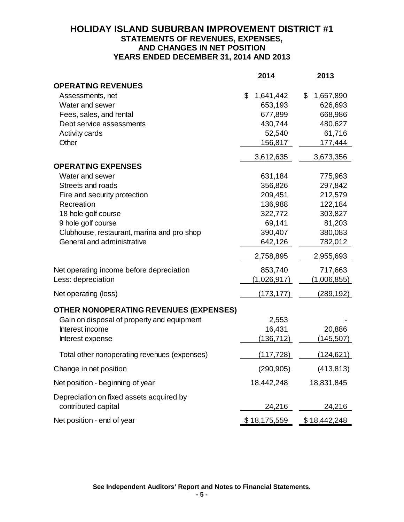# **HOLIDAY ISLAND SUBURBAN IMPROVEMENT DISTRICT #1 STATEMENTS OF REVENUES, EXPENSES, AND CHANGES IN NET POSITION YEARS ENDED DECEMBER 31, 2014 AND 2013**

|                                                                 | 2014            | 2013            |
|-----------------------------------------------------------------|-----------------|-----------------|
| <b>OPERATING REVENUES</b>                                       |                 |                 |
| Assessments, net                                                | \$<br>1,641,442 | \$<br>1,657,890 |
| Water and sewer                                                 | 653,193         | 626,693         |
| Fees, sales, and rental                                         | 677,899         | 668,986         |
| Debt service assessments                                        | 430,744         | 480,627         |
| Activity cards                                                  | 52,540          | 61,716          |
| Other                                                           | 156,817         | 177,444         |
|                                                                 | 3,612,635       | 3,673,356       |
| <b>OPERATING EXPENSES</b>                                       |                 |                 |
| Water and sewer                                                 | 631,184         | 775,963         |
| Streets and roads                                               | 356,826         | 297,842         |
| Fire and security protection                                    | 209,451         | 212,579         |
| Recreation                                                      | 136,988         | 122,184         |
| 18 hole golf course                                             | 322,772         | 303,827         |
| 9 hole golf course                                              | 69,141          | 81,203          |
| Clubhouse, restaurant, marina and pro shop                      | 390,407         | 380,083         |
| General and administrative                                      | 642,126         | 782,012         |
|                                                                 | 2,758,895       | 2,955,693       |
| Net operating income before depreciation                        | 853,740         | 717,663         |
| Less: depreciation                                              | (1,026,917)     | (1,006,855)     |
| Net operating (loss)                                            | (173, 177)      | (289,192)       |
| OTHER NONOPERATING REVENUES (EXPENSES)                          |                 |                 |
| Gain on disposal of property and equipment                      | 2,553           |                 |
| Interest income                                                 | 16,431          | 20,886          |
| Interest expense                                                | (136,712)       | (145, 507)      |
| Total other nonoperating revenues (expenses)                    | (117,728)       | (124, 621)      |
| Change in net position                                          | (290, 905)      | (413, 813)      |
| Net position - beginning of year                                | 18,442,248      | 18,831,845      |
| Depreciation on fixed assets acquired by<br>contributed capital | 24,216          | 24,216          |
| Net position - end of year                                      | \$18,175,559    | \$18,442,248    |

**See Independent Auditors' Report and Notes to Financial Statements.**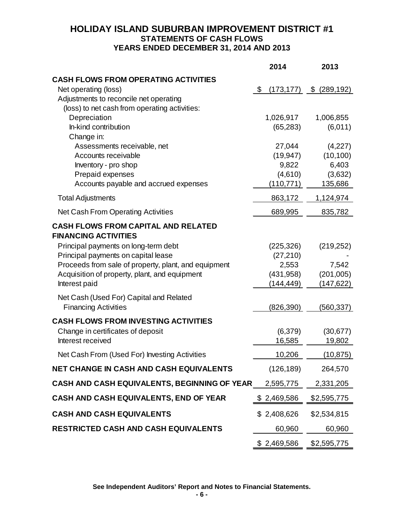# **HOLIDAY ISLAND SUBURBAN IMPROVEMENT DISTRICT #1 STATEMENTS OF CASH FLOWS YEARS ENDED DECEMBER 31, 2014 AND 2013**

|                                                                           | 2014             | 2013          |
|---------------------------------------------------------------------------|------------------|---------------|
| <b>CASH FLOWS FROM OPERATING ACTIVITIES</b>                               |                  |               |
| Net operating (loss)                                                      | \$<br>(173, 177) | \$ (289, 192) |
| Adjustments to reconcile net operating                                    |                  |               |
| (loss) to net cash from operating activities:                             |                  |               |
| Depreciation                                                              | 1,026,917        | 1,006,855     |
| In-kind contribution                                                      | (65, 283)        | (6,011)       |
| Change in:                                                                |                  |               |
| Assessments receivable, net                                               | 27,044           | (4,227)       |
| Accounts receivable                                                       | (19, 947)        | (10, 100)     |
| Inventory - pro shop                                                      | 9,822            | 6,403         |
| Prepaid expenses                                                          | (4,610)          | (3,632)       |
| Accounts payable and accrued expenses                                     | (110, 771)       | 135,686       |
| <b>Total Adjustments</b>                                                  | 863,172          | 1,124,974     |
| Net Cash From Operating Activities                                        | 689,995          | 835,782       |
| <b>CASH FLOWS FROM CAPITAL AND RELATED</b><br><b>FINANCING ACTIVITIES</b> |                  |               |
| Principal payments on long-term debt                                      | (225, 326)       | (219, 252)    |
| Principal payments on capital lease                                       | (27, 210)        |               |
| Proceeds from sale of property, plant, and equipment                      | 2,553            | 7,542         |
| Acquisition of property, plant, and equipment                             | (431, 958)       | (201,005)     |
| Interest paid                                                             | (144, 449)       | (147, 622)    |
| Net Cash (Used For) Capital and Related<br><b>Financing Activities</b>    | (826, 390)       | (560, 337)    |
| <b>CASH FLOWS FROM INVESTING ACTIVITIES</b>                               |                  |               |
| Change in certificates of deposit                                         | (6, 379)         | (30, 677)     |
| Interest received                                                         | 16,585           | 19,802        |
| Net Cash From (Used For) Investing Activities                             | 10,206           | (10, 875)     |
| NET CHANGE IN CASH AND CASH EQUIVALENTS                                   | (126, 189)       | 264,570       |
| CASH AND CASH EQUIVALENTS, BEGINNING OF YEAR                              | 2,595,775        | 2,331,205     |
| CASH AND CASH EQUIVALENTS, END OF YEAR                                    | \$2,469,586      | \$2,595,775   |
| <b>CASH AND CASH EQUIVALENTS</b>                                          | \$2,408,626      | \$2,534,815   |
| <b>RESTRICTED CASH AND CASH EQUIVALENTS</b>                               | 60,960           | 60,960        |
|                                                                           | \$2,469,586      | \$2,595,775   |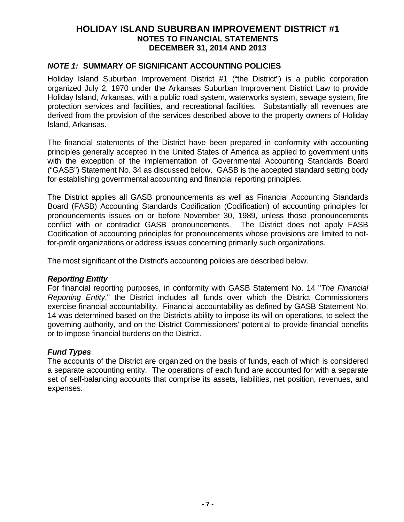### *NOTE 1:* **SUMMARY OF SIGNIFICANT ACCOUNTING POLICIES**

Holiday Island Suburban Improvement District #1 ("the District") is a public corporation organized July 2, 1970 under the Arkansas Suburban Improvement District Law to provide Holiday Island, Arkansas, with a public road system, waterworks system, sewage system, fire protection services and facilities, and recreational facilities. Substantially all revenues are derived from the provision of the services described above to the property owners of Holiday Island, Arkansas.

The financial statements of the District have been prepared in conformity with accounting principles generally accepted in the United States of America as applied to government units with the exception of the implementation of Governmental Accounting Standards Board ("GASB") Statement No. 34 as discussed below. GASB is the accepted standard setting body for establishing governmental accounting and financial reporting principles.

The District applies all GASB pronouncements as well as Financial Accounting Standards Board (FASB) Accounting Standards Codification (Codification) of accounting principles for pronouncements issues on or before November 30, 1989, unless those pronouncements conflict with or contradict GASB pronouncements. The District does not apply FASB Codification of accounting principles for pronouncements whose provisions are limited to notfor-profit organizations or address issues concerning primarily such organizations.

The most significant of the District's accounting policies are described below.

## *Reporting Entity*

For financial reporting purposes, in conformity with GASB Statement No. 14 "*The Financial Reporting Entity*," the District includes all funds over which the District Commissioners exercise financial accountability. Financial accountability as defined by GASB Statement No. 14 was determined based on the District's ability to impose its will on operations, to select the governing authority, and on the District Commissioners' potential to provide financial benefits or to impose financial burdens on the District.

## *Fund Types*

The accounts of the District are organized on the basis of funds, each of which is considered a separate accounting entity. The operations of each fund are accounted for with a separate set of self-balancing accounts that comprise its assets, liabilities, net position, revenues, and expenses.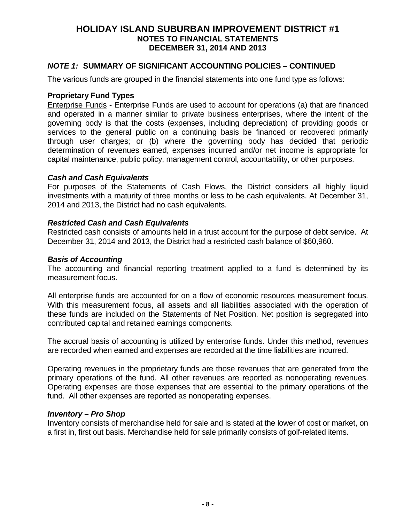## *NOTE 1:* **SUMMARY OF SIGNIFICANT ACCOUNTING POLICIES – CONTINUED**

The various funds are grouped in the financial statements into one fund type as follows:

### **Proprietary Fund Types**

Enterprise Funds - Enterprise Funds are used to account for operations (a) that are financed and operated in a manner similar to private business enterprises, where the intent of the governing body is that the costs (expenses, including depreciation) of providing goods or services to the general public on a continuing basis be financed or recovered primarily through user charges; or (b) where the governing body has decided that periodic determination of revenues earned, expenses incurred and/or net income is appropriate for capital maintenance, public policy, management control, accountability, or other purposes.

### *Cash and Cash Equivalents*

For purposes of the Statements of Cash Flows, the District considers all highly liquid investments with a maturity of three months or less to be cash equivalents. At December 31, 2014 and 2013, the District had no cash equivalents.

### *Restricted Cash and Cash Equivalents*

Restricted cash consists of amounts held in a trust account for the purpose of debt service. At December 31, 2014 and 2013, the District had a restricted cash balance of \$60,960.

### *Basis of Accounting*

The accounting and financial reporting treatment applied to a fund is determined by its measurement focus.

All enterprise funds are accounted for on a flow of economic resources measurement focus. With this measurement focus, all assets and all liabilities associated with the operation of these funds are included on the Statements of Net Position. Net position is segregated into contributed capital and retained earnings components.

The accrual basis of accounting is utilized by enterprise funds. Under this method, revenues are recorded when earned and expenses are recorded at the time liabilities are incurred.

Operating revenues in the proprietary funds are those revenues that are generated from the primary operations of the fund. All other revenues are reported as nonoperating revenues. Operating expenses are those expenses that are essential to the primary operations of the fund. All other expenses are reported as nonoperating expenses.

### *Inventory – Pro Shop*

Inventory consists of merchandise held for sale and is stated at the lower of cost or market, on a first in, first out basis. Merchandise held for sale primarily consists of golf-related items.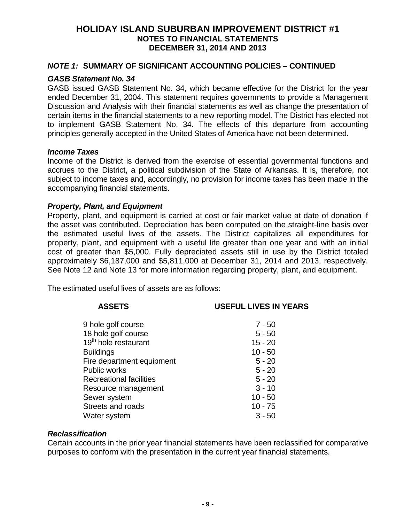### *NOTE 1:* **SUMMARY OF SIGNIFICANT ACCOUNTING POLICIES – CONTINUED**

#### *GASB Statement No. 34*

GASB issued GASB Statement No. 34, which became effective for the District for the year ended December 31, 2004. This statement requires governments to provide a Management Discussion and Analysis with their financial statements as well as change the presentation of certain items in the financial statements to a new reporting model. The District has elected not to implement GASB Statement No. 34. The effects of this departure from accounting principles generally accepted in the United States of America have not been determined.

#### *Income Taxes*

Income of the District is derived from the exercise of essential governmental functions and accrues to the District, a political subdivision of the State of Arkansas. It is, therefore, not subject to income taxes and, accordingly, no provision for income taxes has been made in the accompanying financial statements.

#### *Property, Plant, and Equipment*

Property, plant, and equipment is carried at cost or fair market value at date of donation if the asset was contributed. Depreciation has been computed on the straight-line basis over the estimated useful lives of the assets. The District capitalizes all expenditures for property, plant, and equipment with a useful life greater than one year and with an initial cost of greater than \$5,000. Fully depreciated assets still in use by the District totaled approximately \$6,187,000 and \$5,811,000 at December 31, 2014 and 2013, respectively. See Note 12 and Note 13 for more information regarding property, plant, and equipment.

The estimated useful lives of assets are as follows:

# **ASSETS USEFUL LIVES IN YEARS** 9 hole golf course 7 - 50 18 hole golf course 5 - 50  $19<sup>th</sup>$  hole restaurant  $15 - 20$ <br>Buildings  $10 - 50$ Buildings 10 - 50

| <b>DUIIUII IYS</b>             | TU - 90   |
|--------------------------------|-----------|
| Fire department equipment      | $5 - 20$  |
| <b>Public works</b>            | $5 - 20$  |
| <b>Recreational facilities</b> | $5 - 20$  |
| Resource management            | $3 - 10$  |
| Sewer system                   | $10 - 50$ |
| Streets and roads              | $10 - 75$ |
| Water system                   | $3 - 50$  |
|                                |           |

#### *Reclassification*

Certain accounts in the prior year financial statements have been reclassified for comparative purposes to conform with the presentation in the current year financial statements.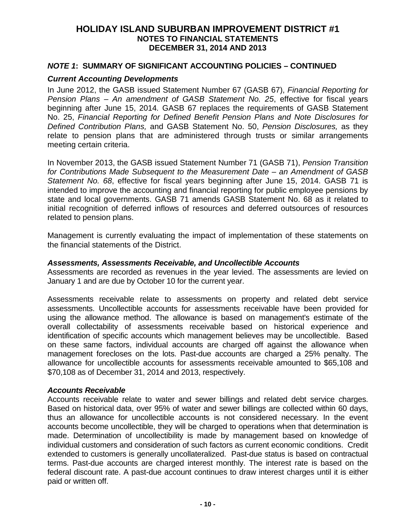### *NOTE 1***: SUMMARY OF SIGNIFICANT ACCOUNTING POLICIES – CONTINUED**

#### *Current Accounting Developments*

In June 2012, the GASB issued Statement Number 67 (GASB 67), *Financial Reporting for Pension Plans – An amendment of GASB Statement No. 25*, effective for fiscal years beginning after June 15, 2014*.* GASB 67 replaces the requirements of GASB Statement No. 25, *Financial Reporting for Defined Benefit Pension Plans and Note Disclosures for Defined Contribution Plans,* and GASB Statement No. 50, *Pension Disclosures,* as they relate to pension plans that are administered through trusts or similar arrangements meeting certain criteria.

In November 2013, the GASB issued Statement Number 71 (GASB 71), *Pension Transition for Contributions Made Subsequent to the Measurement Date – an Amendment of GASB Statement No. 68*, effective for fiscal years beginning after June 15, 2014. GASB 71 is intended to improve the accounting and financial reporting for public employee pensions by state and local governments. GASB 71 amends GASB Statement No. 68 as it related to initial recognition of deferred inflows of resources and deferred outsources of resources related to pension plans.

Management is currently evaluating the impact of implementation of these statements on the financial statements of the District.

#### *Assessments, Assessments Receivable, and Uncollectible Accounts*

Assessments are recorded as revenues in the year levied. The assessments are levied on January 1 and are due by October 10 for the current year.

Assessments receivable relate to assessments on property and related debt service assessments. Uncollectible accounts for assessments receivable have been provided for using the allowance method. The allowance is based on management's estimate of the overall collectability of assessments receivable based on historical experience and identification of specific accounts which management believes may be uncollectible. Based on these same factors, individual accounts are charged off against the allowance when management forecloses on the lots. Past-due accounts are charged a 25% penalty. The allowance for uncollectible accounts for assessments receivable amounted to \$65,108 and \$70,108 as of December 31, 2014 and 2013, respectively.

#### *Accounts Receivable*

Accounts receivable relate to water and sewer billings and related debt service charges. Based on historical data, over 95% of water and sewer billings are collected within 60 days, thus an allowance for uncollectible accounts is not considered necessary. In the event accounts become uncollectible, they will be charged to operations when that determination is made. Determination of uncollectibility is made by management based on knowledge of individual customers and consideration of such factors as current economic conditions. Credit extended to customers is generally uncollateralized. Past-due status is based on contractual terms. Past-due accounts are charged interest monthly. The interest rate is based on the federal discount rate. A past-due account continues to draw interest charges until it is either paid or written off.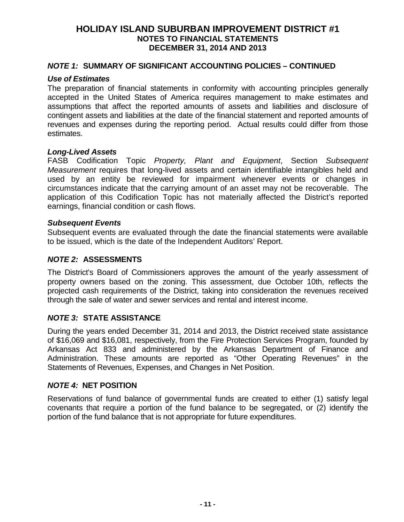### *NOTE 1:* **SUMMARY OF SIGNIFICANT ACCOUNTING POLICIES – CONTINUED**

#### *Use of Estimates*

The preparation of financial statements in conformity with accounting principles generally accepted in the United States of America requires management to make estimates and assumptions that affect the reported amounts of assets and liabilities and disclosure of contingent assets and liabilities at the date of the financial statement and reported amounts of revenues and expenses during the reporting period. Actual results could differ from those estimates.

#### *Long-Lived Assets*

FASB Codification Topic *Property, Plant and Equipment*, Section *Subsequent Measurement* requires that long-lived assets and certain identifiable intangibles held and used by an entity be reviewed for impairment whenever events or changes in circumstances indicate that the carrying amount of an asset may not be recoverable. The application of this Codification Topic has not materially affected the District's reported earnings, financial condition or cash flows.

#### *Subsequent Events*

Subsequent events are evaluated through the date the financial statements were available to be issued, which is the date of the Independent Auditors' Report.

### *NOTE 2:* **ASSESSMENTS**

The District's Board of Commissioners approves the amount of the yearly assessment of property owners based on the zoning. This assessment, due October 10th, reflects the projected cash requirements of the District, taking into consideration the revenues received through the sale of water and sewer services and rental and interest income.

### *NOTE 3:* **STATE ASSISTANCE**

During the years ended December 31, 2014 and 2013, the District received state assistance of \$16,069 and \$16,081, respectively, from the Fire Protection Services Program, founded by Arkansas Act 833 and administered by the Arkansas Department of Finance and Administration. These amounts are reported as "Other Operating Revenues" in the Statements of Revenues, Expenses, and Changes in Net Position.

### *NOTE 4:* **NET POSITION**

Reservations of fund balance of governmental funds are created to either (1) satisfy legal covenants that require a portion of the fund balance to be segregated, or (2) identify the portion of the fund balance that is not appropriate for future expenditures.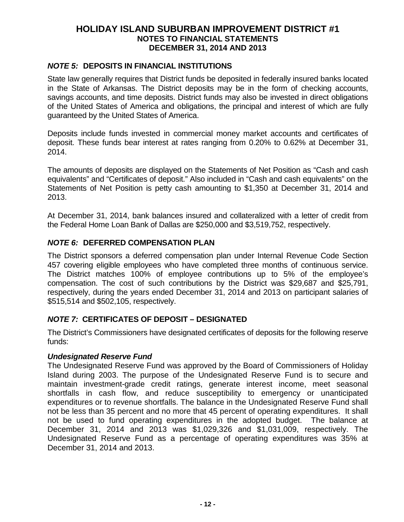# *NOTE 5:* **DEPOSITS IN FINANCIAL INSTITUTIONS**

State law generally requires that District funds be deposited in federally insured banks located in the State of Arkansas. The District deposits may be in the form of checking accounts, savings accounts, and time deposits. District funds may also be invested in direct obligations of the United States of America and obligations, the principal and interest of which are fully guaranteed by the United States of America.

Deposits include funds invested in commercial money market accounts and certificates of deposit. These funds bear interest at rates ranging from 0.20% to 0.62% at December 31, 2014.

The amounts of deposits are displayed on the Statements of Net Position as "Cash and cash equivalents" and "Certificates of deposit." Also included in "Cash and cash equivalents" on the Statements of Net Position is petty cash amounting to \$1,350 at December 31, 2014 and 2013.

At December 31, 2014, bank balances insured and collateralized with a letter of credit from the Federal Home Loan Bank of Dallas are \$250,000 and \$3,519,752, respectively.

## *NOTE 6:* **DEFERRED COMPENSATION PLAN**

The District sponsors a deferred compensation plan under Internal Revenue Code Section 457 covering eligible employees who have completed three months of continuous service. The District matches 100% of employee contributions up to 5% of the employee's compensation. The cost of such contributions by the District was \$29,687 and \$25,791, respectively, during the years ended December 31, 2014 and 2013 on participant salaries of \$515,514 and \$502,105, respectively.

## *NOTE 7:* **CERTIFICATES OF DEPOSIT – DESIGNATED**

The District's Commissioners have designated certificates of deposits for the following reserve funds:

### *Undesignated Reserve Fund*

The Undesignated Reserve Fund was approved by the Board of Commissioners of Holiday Island during 2003. The purpose of the Undesignated Reserve Fund is to secure and maintain investment-grade credit ratings, generate interest income, meet seasonal shortfalls in cash flow, and reduce susceptibility to emergency or unanticipated expenditures or to revenue shortfalls. The balance in the Undesignated Reserve Fund shall not be less than 35 percent and no more that 45 percent of operating expenditures. It shall not be used to fund operating expenditures in the adopted budget. The balance at December 31, 2014 and 2013 was \$1,029,326 and \$1,031,009, respectively. The Undesignated Reserve Fund as a percentage of operating expenditures was 35% at December 31, 2014 and 2013.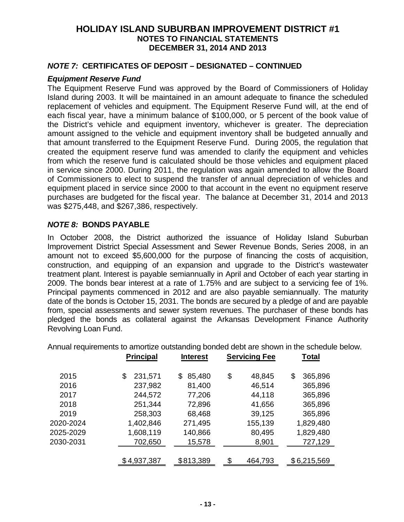### *NOTE 7:* **CERTIFICATES OF DEPOSIT – DESIGNATED – CONTINUED**

#### *Equipment Reserve Fund*

The Equipment Reserve Fund was approved by the Board of Commissioners of Holiday Island during 2003. It will be maintained in an amount adequate to finance the scheduled replacement of vehicles and equipment. The Equipment Reserve Fund will, at the end of each fiscal year, have a minimum balance of \$100,000, or 5 percent of the book value of the District's vehicle and equipment inventory, whichever is greater. The depreciation amount assigned to the vehicle and equipment inventory shall be budgeted annually and that amount transferred to the Equipment Reserve Fund. During 2005, the regulation that created the equipment reserve fund was amended to clarify the equipment and vehicles from which the reserve fund is calculated should be those vehicles and equipment placed in service since 2000. During 2011, the regulation was again amended to allow the Board of Commissioners to elect to suspend the transfer of annual depreciation of vehicles and equipment placed in service since 2000 to that account in the event no equipment reserve purchases are budgeted for the fiscal year. The balance at December 31, 2014 and 2013 was \$275,448, and \$267,386, respectively.

### *NOTE 8:* **BONDS PAYABLE**

In October 2008, the District authorized the issuance of Holiday Island Suburban Improvement District Special Assessment and Sewer Revenue Bonds, Series 2008, in an amount not to exceed \$5,600,000 for the purpose of financing the costs of acquisition, construction, and equipping of an expansion and upgrade to the District's wastewater treatment plant. Interest is payable semiannually in April and October of each year starting in 2009. The bonds bear interest at a rate of 1.75% and are subject to a servicing fee of 1%. Principal payments commenced in 2012 and are also payable semiannually. The maturity date of the bonds is October 15, 2031. The bonds are secured by a pledge of and are payable from, special assessments and sewer system revenues. The purchaser of these bonds has pledged the bonds as collateral against the Arkansas Development Finance Authority Revolving Loan Fund.

|           |                  |                 |                      | Annual requirements to amortize outstanding bonded debt are shown in the schedule below. |  |
|-----------|------------------|-----------------|----------------------|------------------------------------------------------------------------------------------|--|
|           | <b>Principal</b> | <b>Interest</b> | <b>Servicing Fee</b> | <b>Total</b>                                                                             |  |
| 2015      | 231,571<br>\$    | \$85,480        | \$<br>48,845         | 365,896<br>\$                                                                            |  |
| 2016      | 237,982          | 81,400          | 46,514               | 365,896                                                                                  |  |
| 2017      | 244,572          | 77,206          | 44,118               | 365,896                                                                                  |  |
| 2018      | 251,344          | 72,896          | 41,656               | 365,896                                                                                  |  |
| 2019      | 258,303          | 68,468          | 39,125               | 365,896                                                                                  |  |
| 2020-2024 | 1,402,846        | 271,495         | 155,139              | 1,829,480                                                                                |  |
| 2025-2029 | 1,608,119        | 140,866         | 80,495               | 1,829,480                                                                                |  |

2030-2031 702,650 15,578 8,901 727,129

\$ 4,937,387 \$813,389 \$ 464,793 \$ 6,215,569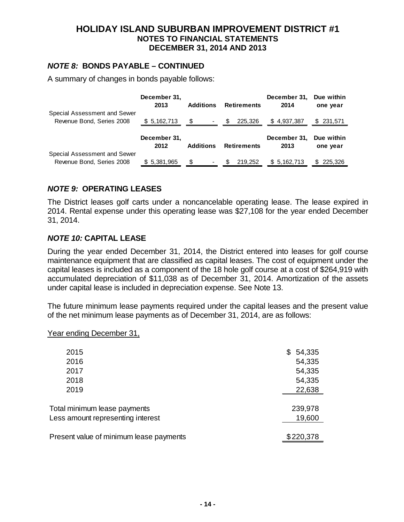### *NOTE 8:* **BONDS PAYABLE – CONTINUED**

A summary of changes in bonds payable follows:

|                              | December 31,<br>2013 | <b>Additions</b> | <b>Retirements</b>         | December 31,<br>2014 | Due within<br>one year |
|------------------------------|----------------------|------------------|----------------------------|----------------------|------------------------|
| Special Assessment and Sewer |                      |                  |                            |                      |                        |
| Revenue Bond, Series 2008    | \$ 5,162,713         |                  | $\frac{1}{2}$ - \$ 225,326 | \$4,937,387          | \$ 231,571             |
|                              |                      |                  |                            |                      |                        |
|                              |                      |                  |                            |                      |                        |
|                              | December 31,         |                  |                            | December 31,         | Due within             |
|                              | 2012                 | <b>Additions</b> | <b>Retirements</b>         | 2013                 | one year               |
| Special Assessment and Sewer |                      |                  |                            |                      |                        |

# *NOTE 9:* **OPERATING LEASES**

The District leases golf carts under a noncancelable operating lease. The lease expired in 2014. Rental expense under this operating lease was \$27,108 for the year ended December 31, 2014.

## *NOTE 10:* **CAPITAL LEASE**

During the year ended December 31, 2014, the District entered into leases for golf course maintenance equipment that are classified as capital leases. The cost of equipment under the capital leases is included as a component of the 18 hole golf course at a cost of \$264,919 with accumulated depreciation of \$11,038 as of December 31, 2014. Amortization of the assets under capital lease is included in depreciation expense. See Note 13.

The future minimum lease payments required under the capital leases and the present value of the net minimum lease payments as of December 31, 2014, are as follows:

Year ending December 31,

| 2015                                    | 54,335<br>S |
|-----------------------------------------|-------------|
| 2016                                    | 54,335      |
| 2017                                    | 54,335      |
| 2018                                    | 54,335      |
| 2019                                    | 22,638      |
|                                         |             |
| Total minimum lease payments            | 239,978     |
| Less amount representing interest       | 19,600      |
|                                         |             |
| Present value of minimum lease payments | \$220,378   |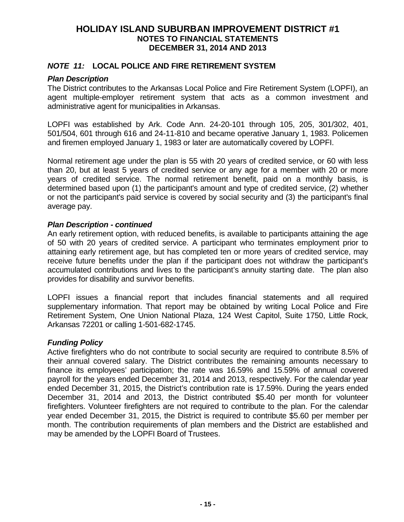### *NOTE 11:* **LOCAL POLICE AND FIRE RETIREMENT SYSTEM**

### *Plan Description*

The District contributes to the Arkansas Local Police and Fire Retirement System (LOPFI), an agent multiple-employer retirement system that acts as a common investment and administrative agent for municipalities in Arkansas.

LOPFI was established by Ark. Code Ann. 24-20-101 through 105, 205, 301/302, 401, 501/504, 601 through 616 and 24-11-810 and became operative January 1, 1983. Policemen and firemen employed January 1, 1983 or later are automatically covered by LOPFI.

Normal retirement age under the plan is 55 with 20 years of credited service, or 60 with less than 20, but at least 5 years of credited service or any age for a member with 20 or more years of credited service. The normal retirement benefit, paid on a monthly basis, is determined based upon (1) the participant's amount and type of credited service, (2) whether or not the participant's paid service is covered by social security and (3) the participant's final average pay.

### *Plan Description - continued*

An early retirement option, with reduced benefits, is available to participants attaining the age of 50 with 20 years of credited service. A participant who terminates employment prior to attaining early retirement age, but has completed ten or more years of credited service, may receive future benefits under the plan if the participant does not withdraw the participant's accumulated contributions and lives to the participant's annuity starting date. The plan also provides for disability and survivor benefits.

LOPFI issues a financial report that includes financial statements and all required supplementary information. That report may be obtained by writing Local Police and Fire Retirement System, One Union National Plaza, 124 West Capitol, Suite 1750, Little Rock, Arkansas 72201 or calling 1-501-682-1745.

## *Funding Policy*

Active firefighters who do not contribute to social security are required to contribute 8.5% of their annual covered salary. The District contributes the remaining amounts necessary to finance its employees' participation; the rate was 16.59% and 15.59% of annual covered payroll for the years ended December 31, 2014 and 2013, respectively. For the calendar year ended December 31, 2015, the District's contribution rate is 17.59%. During the years ended December 31, 2014 and 2013, the District contributed \$5.40 per month for volunteer firefighters. Volunteer firefighters are not required to contribute to the plan. For the calendar year ended December 31, 2015, the District is required to contribute \$5.60 per member per month. The contribution requirements of plan members and the District are established and may be amended by the LOPFI Board of Trustees.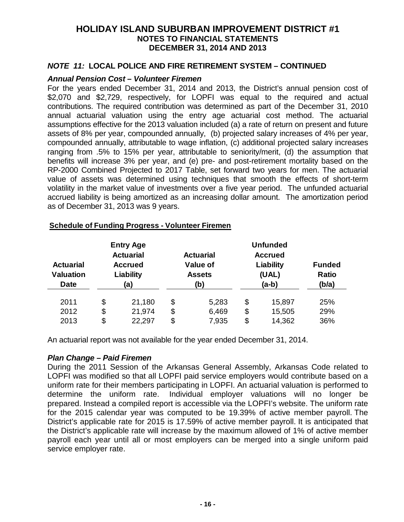### *NOTE 11:* **LOCAL POLICE AND FIRE RETIREMENT SYSTEM – CONTINUED**

#### *Annual Pension Cost – Volunteer Firemen*

For the years ended December 31, 2014 and 2013, the District's annual pension cost of \$2,070 and \$2,729, respectively, for LOPFI was equal to the required and actual contributions. The required contribution was determined as part of the December 31, 2010 annual actuarial valuation using the entry age actuarial cost method. The actuarial assumptions effective for the 2013 valuation included (a) a rate of return on present and future assets of 8% per year, compounded annually, (b) projected salary increases of 4% per year, compounded annually, attributable to wage inflation, (c) additional projected salary increases ranging from .5% to 15% per year, attributable to seniority/merit, (d) the assumption that benefits will increase 3% per year, and (e) pre- and post-retirement mortality based on the RP-2000 Combined Projected to 2017 Table, set forward two years for men. The actuarial value of assets was determined using techniques that smooth the effects of short-term volatility in the market value of investments over a five year period. The unfunded actuarial accrued liability is being amortized as an increasing dollar amount. The amortization period as of December 31, 2013 was 9 years.

| <b>Actuarial</b><br><b>Valuation</b><br><b>Date</b> | <b>Entry Age</b><br><b>Actuarial</b><br><b>Accrued</b><br>Liability<br>(a) |    | <b>Actuarial</b><br>Value of<br><b>Assets</b><br>(b) |    | <b>Unfunded</b><br><b>Accrued</b><br>Liability<br>(UAL)<br>$(a-b)$ | <b>Funded</b><br><b>Ratio</b><br>(b/a) |
|-----------------------------------------------------|----------------------------------------------------------------------------|----|------------------------------------------------------|----|--------------------------------------------------------------------|----------------------------------------|
| 2011                                                | \$<br>21,180                                                               | \$ | 5,283                                                | \$ | 15,897                                                             | 25%                                    |
| 2012                                                | \$<br>21,974                                                               | \$ | 6,469                                                | \$ | 15,505                                                             | 29%                                    |
| 2013                                                | \$<br>22,297                                                               | \$ | 7,935                                                | \$ | 14,362                                                             | 36%                                    |

#### **Schedule of Funding Progress - Volunteer Firemen**

An actuarial report was not available for the year ended December 31, 2014.

### *Plan Change – Paid Firemen*

During the 2011 Session of the Arkansas General Assembly, Arkansas Code related to LOPFI was modified so that all LOPFI paid service employers would contribute based on a uniform rate for their members participating in LOPFI. An actuarial valuation is performed to determine the uniform rate. Individual employer valuations will no longer be prepared. Instead a compiled report is accessible via the LOPFI's website. The uniform rate for the 2015 calendar year was computed to be 19.39% of active member payroll. The District's applicable rate for 2015 is 17.59% of active member payroll. It is anticipated that the District's applicable rate will increase by the maximum allowed of 1% of active member payroll each year until all or most employers can be merged into a single uniform paid service employer rate.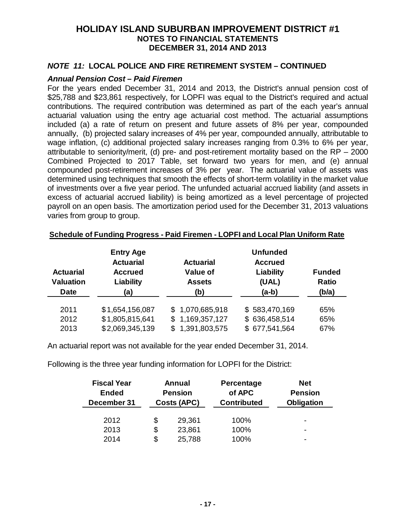## *NOTE 11:* **LOCAL POLICE AND FIRE RETIREMENT SYSTEM – CONTINUED**

### *Annual Pension Cost – Paid Firemen*

For the years ended December 31, 2014 and 2013, the District's annual pension cost of \$25,788 and \$23,861 respectively, for LOPFI was equal to the District's required and actual contributions. The required contribution was determined as part of the each year's annual actuarial valuation using the entry age actuarial cost method. The actuarial assumptions included (a) a rate of return on present and future assets of 8% per year, compounded annually, (b) projected salary increases of 4% per year, compounded annually, attributable to wage inflation, (c) additional projected salary increases ranging from 0.3% to 6% per year, attributable to seniority/merit, (d) pre- and post-retirement mortality based on the RP – 2000 Combined Projected to 2017 Table, set forward two years for men, and (e) annual compounded post-retirement increases of 3% per year. The actuarial value of assets was determined using techniques that smooth the effects of short-term volatility in the market value of investments over a five year period. The unfunded actuarial accrued liability (and assets in excess of actuarial accrued liability) is being amortized as a level percentage of projected payroll on an open basis. The amortization period used for the December 31, 2013 valuations varies from group to group.

| <b>Actuarial</b><br><b>Valuation</b><br><b>Date</b> | <b>Entry Age</b><br><b>Actuarial</b><br><b>Accrued</b><br>Liability<br>(a) | <b>Actuarial</b><br><b>Value of</b><br><b>Assets</b><br>(b) | <b>Unfunded</b><br><b>Accrued</b><br>Liability<br>(UAL)<br>$(a-b)$ | <b>Funded</b><br>Ratio<br>(b/a) |
|-----------------------------------------------------|----------------------------------------------------------------------------|-------------------------------------------------------------|--------------------------------------------------------------------|---------------------------------|
| 2011                                                | \$1,654,156,087                                                            | \$1,070,685,918                                             | \$583,470,169                                                      | 65%                             |
| 2012                                                | \$1,805,815,641                                                            | \$1,169,357,127                                             | \$636,458,514                                                      | 65%                             |
| 2013                                                | \$2,069,345,139                                                            | 1,391,803,575<br>\$.                                        | \$677,541,564                                                      | 67%                             |

#### **Schedule of Funding Progress - Paid Firemen - LOPFI and Local Plan Uniform Rate**

An actuarial report was not available for the year ended December 31, 2014.

Following is the three year funding information for LOPFI for the District:

| <b>Fiscal Year</b><br><b>Ended</b><br>December 31 | Annual<br><b>Pension</b><br><b>Costs (APC)</b> |        | <b>Percentage</b><br>of APC<br><b>Contributed</b> | <b>Net</b><br><b>Pension</b><br>Obligation |
|---------------------------------------------------|------------------------------------------------|--------|---------------------------------------------------|--------------------------------------------|
| 2012                                              | \$                                             | 29,361 | 100%                                              | ٠                                          |
| 2013                                              | \$                                             | 23,861 | 100%                                              | ٠                                          |
| 2014                                              | \$                                             | 25,788 | 100%                                              |                                            |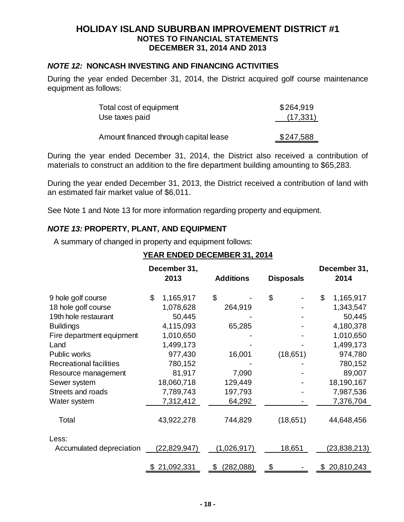## *NOTE 12:* **NONCASH INVESTING AND FINANCING ACTIVITIES**

During the year ended December 31, 2014, the District acquired golf course maintenance equipment as follows:

| Total cost of equipment               | \$264,919 |
|---------------------------------------|-----------|
| Use taxes paid                        | (17, 331) |
|                                       |           |
| Amount financed through capital lease | \$247,588 |

During the year ended December 31, 2014, the District also received a contribution of materials to construct an addition to the fire department building amounting to \$65,283.

During the year ended December 31, 2013, the District received a contribution of land with an estimated fair market value of \$6,011.

See Note 1 and Note 13 for more information regarding property and equipment.

## *NOTE 13:* **PROPERTY, PLANT, AND EQUIPMENT**

A summary of changed in property and equipment follows:

## **YEAR ENDED DECEMBER 31, 2014**

|                                | December 31,<br>2013 | <b>Additions</b> | <b>Disposals</b> | December 31,<br>2014 |
|--------------------------------|----------------------|------------------|------------------|----------------------|
| 9 hole golf course             | \$<br>1,165,917      | \$               | \$               | \$<br>1,165,917      |
| 18 hole golf course            | 1,078,628            | 264,919          |                  | 1,343,547            |
| 19th hole restaurant           | 50,445               |                  |                  | 50,445               |
| <b>Buildings</b>               | 4,115,093            | 65,285           |                  | 4,180,378            |
| Fire department equipment      | 1,010,650            |                  |                  | 1,010,650            |
| Land                           | 1,499,173            |                  |                  | 1,499,173            |
| Public works                   | 977,430              | 16,001           | (18,651)         | 974,780              |
| <b>Recreational facilities</b> | 780,152              |                  |                  | 780,152              |
| Resource management            | 81,917               | 7,090            |                  | 89,007               |
| Sewer system                   | 18,060,718           | 129,449          |                  | 18,190,167           |
| Streets and roads              | 7,789,743            | 197,793          |                  | 7,987,536            |
| Water system                   | 7,312,412            | 64,292           |                  | 7,376,704            |
| Total                          | 43,922,278           | 744,829          | (18,651)         | 44,648,456           |
| Less:                          |                      |                  |                  |                      |
| Accumulated depreciation       | (22,829,947)         | (1,026,917)      | 18,651           | (23,838,213)         |
|                                | \$21,092,331         | (282,088)<br>\$  | \$               | \$20,810,243         |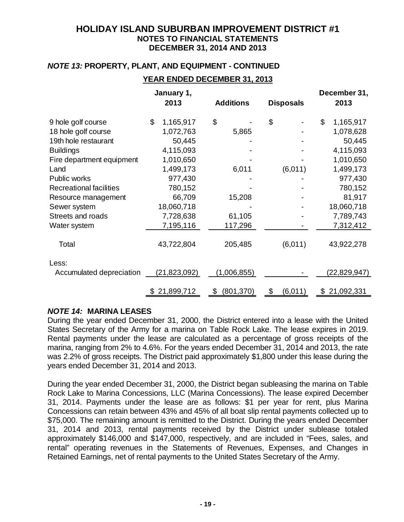# *NOTE 13:* **PROPERTY, PLANT, AND EQUIPMENT - CONTINUED**

## **YEAR ENDED DECEMBER 31, 2013**

|                                | January 1,<br>2013 | <b>Additions</b> | <b>Disposals</b> | December 31,<br>2013 |
|--------------------------------|--------------------|------------------|------------------|----------------------|
| 9 hole golf course             | \$<br>1,165,917    | \$               | \$               | \$<br>1,165,917      |
| 18 hole golf course            | 1,072,763          | 5,865            |                  | 1,078,628            |
| 19th hole restaurant           | 50,445             |                  |                  | 50,445               |
| <b>Buildings</b>               | 4,115,093          |                  |                  | 4,115,093            |
| Fire department equipment      | 1,010,650          |                  |                  | 1,010,650            |
| Land                           | 1,499,173          | 6,011            | (6,011)          | 1,499,173            |
| Public works                   | 977,430            |                  |                  | 977,430              |
| <b>Recreational facilities</b> | 780,152            |                  |                  | 780,152              |
| Resource management            | 66,709             | 15,208           |                  | 81,917               |
| Sewer system                   | 18,060,718         |                  |                  | 18,060,718           |
| Streets and roads              | 7,728,638          | 61,105           |                  | 7,789,743            |
| Water system                   | 7,195,116          | 117,296          |                  | 7,312,412            |
| Total                          | 43,722,804         | 205,485          | (6,011)          | 43,922,278           |
| Less:                          |                    |                  |                  |                      |
| Accumulated depreciation       | (21, 823, 092)     | (1,006,855)      |                  | (22,829,947)         |
|                                | \$21,899,712       | (801, 370)<br>\$ | (6,011)<br>\$    | \$21,092,331         |

## *NOTE 14:* **MARINA LEASES**

During the year ended December 31, 2000, the District entered into a lease with the United States Secretary of the Army for a marina on Table Rock Lake. The lease expires in 2019. Rental payments under the lease are calculated as a percentage of gross receipts of the marina, ranging from 2% to 4.6%. For the years ended December 31, 2014 and 2013, the rate was 2.2% of gross receipts. The District paid approximately \$1,800 under this lease during the years ended December 31, 2014 and 2013.

During the year ended December 31, 2000, the District began subleasing the marina on Table Rock Lake to Marina Concessions, LLC (Marina Concessions). The lease expired December 31, 2014. Payments under the lease are as follows: \$1 per year for rent, plus Marina Concessions can retain between 43% and 45% of all boat slip rental payments collected up to \$75,000. The remaining amount is remitted to the District. During the years ended December 31, 2014 and 2013, rental payments received by the District under sublease totaled approximately \$146,000 and \$147,000, respectively, and are included in "Fees, sales, and rental" operating revenues in the Statements of Revenues, Expenses, and Changes in Retained Earnings, net of rental payments to the United States Secretary of the Army.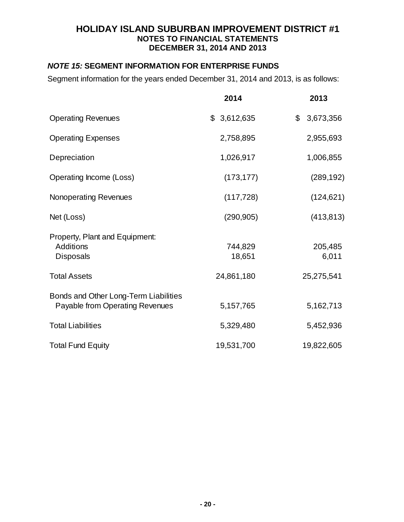# *NOTE 15:* **SEGMENT INFORMATION FOR ENTERPRISE FUNDS**

Segment information for the years ended December 31, 2014 and 2013, is as follows:

|                                                                          | 2014              | 2013             |
|--------------------------------------------------------------------------|-------------------|------------------|
| <b>Operating Revenues</b>                                                | \$3,612,635       | \$3,673,356      |
| <b>Operating Expenses</b>                                                | 2,758,895         | 2,955,693        |
| Depreciation                                                             | 1,026,917         | 1,006,855        |
| Operating Income (Loss)                                                  | (173, 177)        | (289, 192)       |
| <b>Nonoperating Revenues</b>                                             | (117, 728)        | (124, 621)       |
| Net (Loss)                                                               | (290, 905)        | (413, 813)       |
| Property, Plant and Equipment:<br><b>Additions</b><br><b>Disposals</b>   | 744,829<br>18,651 | 205,485<br>6,011 |
| <b>Total Assets</b>                                                      | 24,861,180        | 25,275,541       |
| Bonds and Other Long-Term Liabilities<br>Payable from Operating Revenues | 5,157,765         | 5,162,713        |
| <b>Total Liabilities</b>                                                 | 5,329,480         | 5,452,936        |
| <b>Total Fund Equity</b>                                                 | 19,531,700        | 19,822,605       |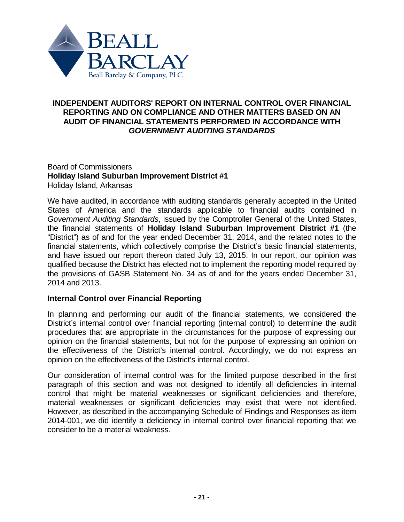

# **INDEPENDENT AUDITORS' REPORT ON INTERNAL CONTROL OVER FINANCIAL REPORTING AND ON COMPLIANCE AND OTHER MATTERS BASED ON AN AUDIT OF FINANCIAL STATEMENTS PERFORMED IN ACCORDANCE WITH** *GOVERNMENT AUDITING STANDARDS*

### Board of Commissioners **Holiday Island Suburban Improvement District #1** Holiday Island, Arkansas

We have audited, in accordance with auditing standards generally accepted in the United States of America and the standards applicable to financial audits contained in *Government Auditing Standards*, issued by the Comptroller General of the United States, the financial statements of **Holiday Island Suburban Improvement District #1** (the "District") as of and for the year ended December 31, 2014, and the related notes to the financial statements, which collectively comprise the District's basic financial statements, and have issued our report thereon dated July 13, 2015. In our report, our opinion was qualified because the District has elected not to implement the reporting model required by the provisions of GASB Statement No. 34 as of and for the years ended December 31, 2014 and 2013.

## **Internal Control over Financial Reporting**

In planning and performing our audit of the financial statements, we considered the District's internal control over financial reporting (internal control) to determine the audit procedures that are appropriate in the circumstances for the purpose of expressing our opinion on the financial statements, but not for the purpose of expressing an opinion on the effectiveness of the District's internal control. Accordingly, we do not express an opinion on the effectiveness of the District's internal control.

Our consideration of internal control was for the limited purpose described in the first paragraph of this section and was not designed to identify all deficiencies in internal control that might be material weaknesses or significant deficiencies and therefore, material weaknesses or significant deficiencies may exist that were not identified. However, as described in the accompanying Schedule of Findings and Responses as item 2014-001, we did identify a deficiency in internal control over financial reporting that we consider to be a material weakness.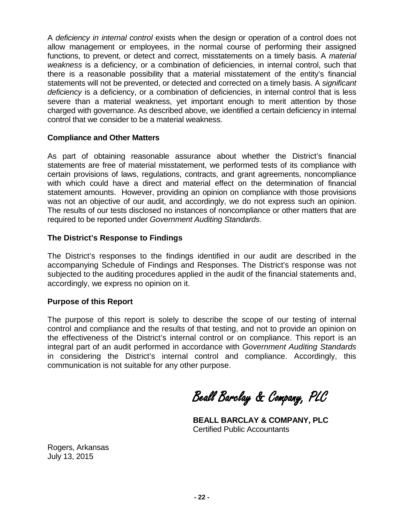A *deficiency in internal control* exists when the design or operation of a control does not allow management or employees, in the normal course of performing their assigned functions, to prevent, or detect and correct, misstatements on a timely basis. A *material weakness* is a deficiency, or a combination of deficiencies, in internal control, such that there is a reasonable possibility that a material misstatement of the entity's financial statements will not be prevented, or detected and corrected on a timely basis. A *significant deficiency* is a deficiency, or a combination of deficiencies, in internal control that is less severe than a material weakness, yet important enough to merit attention by those charged with governance. As described above, we identified a certain deficiency in internal control that we consider to be a material weakness.

### **Compliance and Other Matters**

As part of obtaining reasonable assurance about whether the District's financial statements are free of material misstatement, we performed tests of its compliance with certain provisions of laws, regulations, contracts, and grant agreements, noncompliance with which could have a direct and material effect on the determination of financial statement amounts. However, providing an opinion on compliance with those provisions was not an objective of our audit, and accordingly, we do not express such an opinion. The results of our tests disclosed no instances of noncompliance or other matters that are required to be reported under *Government Auditing Standards*.

### **The District's Response to Findings**

The District's responses to the findings identified in our audit are described in the accompanying Schedule of Findings and Responses. The District's response was not subjected to the auditing procedures applied in the audit of the financial statements and, accordingly, we express no opinion on it.

### **Purpose of this Report**

The purpose of this report is solely to describe the scope of our testing of internal control and compliance and the results of that testing, and not to provide an opinion on the effectiveness of the District's internal control or on compliance. This report is an integral part of an audit performed in accordance with *Government Auditing Standards* in considering the District's internal control and compliance. Accordingly, this communication is not suitable for any other purpose.

Beall Barclay & Company, PLC

**BEALL BARCLAY & COMPANY, PLC** Certified Public Accountants

Rogers, Arkansas July 13, 2015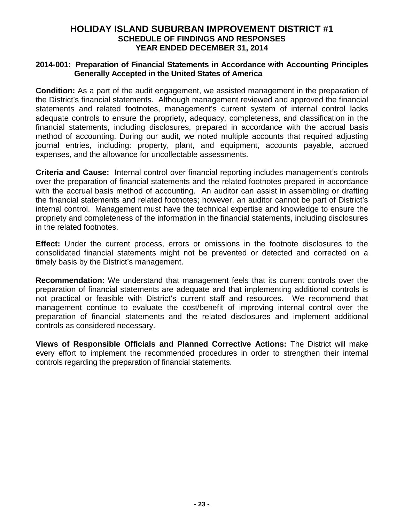# **HOLIDAY ISLAND SUBURBAN IMPROVEMENT DISTRICT #1 SCHEDULE OF FINDINGS AND RESPONSES YEAR ENDED DECEMBER 31, 2014**

### **2014-001: Preparation of Financial Statements in Accordance with Accounting Principles Generally Accepted in the United States of America**

**Condition:** As a part of the audit engagement, we assisted management in the preparation of the District's financial statements. Although management reviewed and approved the financial statements and related footnotes, management's current system of internal control lacks adequate controls to ensure the propriety, adequacy, completeness, and classification in the financial statements, including disclosures, prepared in accordance with the accrual basis method of accounting. During our audit, we noted multiple accounts that required adjusting journal entries, including: property, plant, and equipment, accounts payable, accrued expenses, and the allowance for uncollectable assessments.

**Criteria and Cause:** Internal control over financial reporting includes management's controls over the preparation of financial statements and the related footnotes prepared in accordance with the accrual basis method of accounting. An auditor can assist in assembling or drafting the financial statements and related footnotes; however, an auditor cannot be part of District's internal control. Management must have the technical expertise and knowledge to ensure the propriety and completeness of the information in the financial statements, including disclosures in the related footnotes.

**Effect:** Under the current process, errors or omissions in the footnote disclosures to the consolidated financial statements might not be prevented or detected and corrected on a timely basis by the District's management.

**Recommendation:** We understand that management feels that its current controls over the preparation of financial statements are adequate and that implementing additional controls is not practical or feasible with District's current staff and resources. We recommend that management continue to evaluate the cost/benefit of improving internal control over the preparation of financial statements and the related disclosures and implement additional controls as considered necessary.

**Views of Responsible Officials and Planned Corrective Actions:** The District will make every effort to implement the recommended procedures in order to strengthen their internal controls regarding the preparation of financial statements.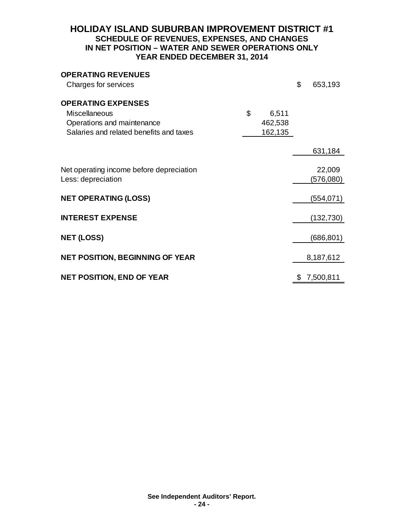# **HOLIDAY ISLAND SUBURBAN IMPROVEMENT DISTRICT #1 SCHEDULE OF REVENUES, EXPENSES, AND CHANGES IN NET POSITION – WATER AND SEWER OPERATIONS ONLY YEAR ENDED DECEMBER 31, 2014**

| <b>OPERATING REVENUES</b><br>Charges for services                     |             | \$<br>653,193   |
|-----------------------------------------------------------------------|-------------|-----------------|
| <b>OPERATING EXPENSES</b>                                             |             |                 |
| Miscellaneous                                                         | \$<br>6,511 |                 |
| Operations and maintenance<br>Salaries and related benefits and taxes | 462,538     |                 |
|                                                                       | 162,135     |                 |
|                                                                       |             | 631,184         |
|                                                                       |             |                 |
| Net operating income before depreciation<br>Less: depreciation        |             | 22,009          |
|                                                                       |             | (576,080)       |
| <b>NET OPERATING (LOSS)</b>                                           |             | (554,071)       |
| <b>INTEREST EXPENSE</b>                                               |             | (132,730)       |
|                                                                       |             |                 |
| <b>NET (LOSS)</b>                                                     |             | (686, 801)      |
|                                                                       |             |                 |
| <b>NET POSITION, BEGINNING OF YEAR</b>                                |             | 8,187,612       |
| <b>NET POSITION, END OF YEAR</b>                                      |             | \$<br>7,500,811 |
|                                                                       |             |                 |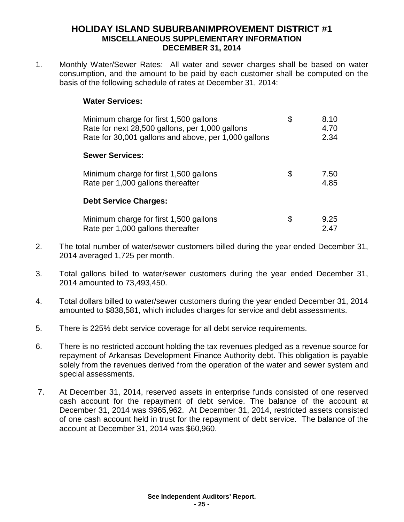# **HOLIDAY ISLAND SUBURBANIMPROVEMENT DISTRICT #1 MISCELLANEOUS SUPPLEMENTARY INFORMATION DECEMBER 31, 2014**

1. Monthly Water/Sewer Rates: All water and sewer charges shall be based on water consumption, and the amount to be paid by each customer shall be computed on the basis of the following schedule of rates at December 31, 2014:

## **Water Services:**

| Minimum charge for first 1,500 gallons<br>Rate for next 28,500 gallons, per 1,000 gallons<br>Rate for 30,001 gallons and above, per 1,000 gallons | \$  | 8.10<br>4.70<br>2.34 |
|---------------------------------------------------------------------------------------------------------------------------------------------------|-----|----------------------|
| <b>Sewer Services:</b>                                                                                                                            |     |                      |
| Minimum charge for first 1,500 gallons<br>Rate per 1,000 gallons thereafter                                                                       | \$  | 7.50<br>4.85         |
| <b>Debt Service Charges:</b>                                                                                                                      |     |                      |
| Minimum charge for first 1,500 gallons<br>Rate per 1,000 gallons thereafter                                                                       | \$. | 9.25<br>2.47         |

- 2. The total number of water/sewer customers billed during the year ended December 31, 2014 averaged 1,725 per month.
- 3. Total gallons billed to water/sewer customers during the year ended December 31, 2014 amounted to 73,493,450.
- 4. Total dollars billed to water/sewer customers during the year ended December 31, 2014 amounted to \$838,581, which includes charges for service and debt assessments.
- 5. There is 225% debt service coverage for all debt service requirements.
- 6. There is no restricted account holding the tax revenues pledged as a revenue source for repayment of Arkansas Development Finance Authority debt. This obligation is payable solely from the revenues derived from the operation of the water and sewer system and special assessments.
- 7. At December 31, 2014, reserved assets in enterprise funds consisted of one reserved cash account for the repayment of debt service. The balance of the account at December 31, 2014 was \$965,962. At December 31, 2014, restricted assets consisted of one cash account held in trust for the repayment of debt service. The balance of the account at December 31, 2014 was \$60,960.